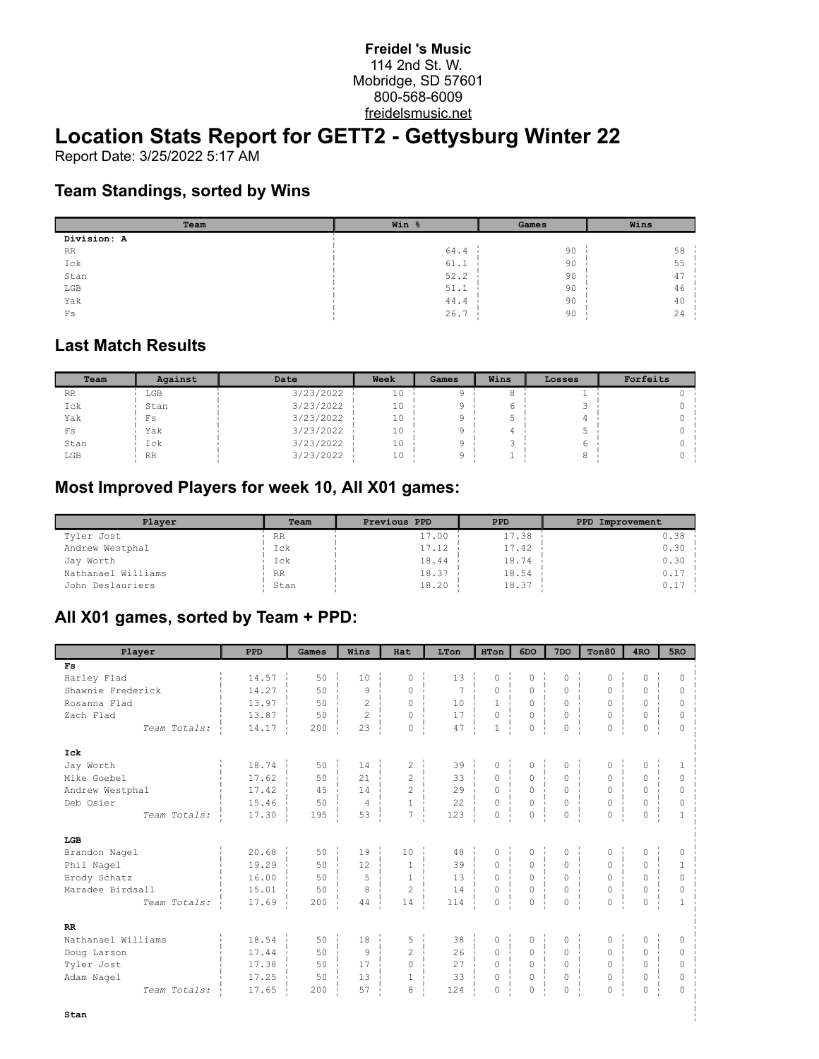#### **Freidel 's Music** 114 2nd St. W. Mobridge, SD 57601 800-568-6009 freidelsmusic.net

# **Location Stats Report for GETT2 - Gettysburg Winter 22**

Report Date: 3/25/2022 5:17 AM

### **Team Standings, sorted by Wins**

| Team         | Win % | Games | Wins |  |  |
|--------------|-------|-------|------|--|--|
| Division: A  |       |       |      |  |  |
| <b>RR</b>    | 64.4  | 90    | 58   |  |  |
| Ick          | 61.1  | 90    | 55   |  |  |
| Stan         | 52.2  | 90    | 47   |  |  |
| $_{\rm LGB}$ | 51.1  | 90    | 46   |  |  |
| Yak          | 44.4  | 90    | 40   |  |  |
| $_{\rm FS}$  | 26.7  | 90    | 24   |  |  |

#### **Last Match Results**

| Team      | Against   | Date      | Week<br>Games |  | Wins | Losses | Forfeits |  |
|-----------|-----------|-----------|---------------|--|------|--------|----------|--|
| <b>RR</b> | LGB       | 3/23/2022 | 10            |  |      |        |          |  |
| Ick       | Stan      | 3/23/2022 | 10            |  |      |        |          |  |
| Yak       | Fs        | 3/23/2022 | 10            |  |      |        |          |  |
| Fs        | Yak       | 3/23/2022 | 10            |  |      | ь.     |          |  |
| Stan      | Ick       | 3/23/2022 | 10            |  |      |        |          |  |
| LGB       | <b>RR</b> | 3/23/2022 | 10            |  |      |        |          |  |

## **Most Improved Players for week 10, All X01 games:**

| Plaver             | Team      | Previous PPD<br><b>PPD</b> |       | PPD Improvement |
|--------------------|-----------|----------------------------|-------|-----------------|
| Tyler Jost         | <b>RR</b> | 17.00                      | 17.38 | 0.38            |
| Andrew Westphal    | Ick       | 17.12                      | 17.42 | $0.30 -$        |
| Jay Worth          | Ick       | 18.44                      | 18.74 | $0.30 -$        |
| Nathanael Williams | RR        | 18.37                      | 18.54 | $0.17 -$        |
| John Deslauriers   | Stan      | 18.20                      | 18.37 | $0.17 -$        |

## **All X01 games, sorted by Team + PPD:**

| Player             | <b>PPD</b> | Games | Wins           | Hat                            | LTon           | <b>HTon</b>             | 6DO                 | 7 <sub>DO</sub>          | Ton80                   | 4 <sub>RO</sub> | 5 <sub>RO</sub> |
|--------------------|------------|-------|----------------|--------------------------------|----------------|-------------------------|---------------------|--------------------------|-------------------------|-----------------|-----------------|
| F <sub>S</sub>     |            |       |                |                                |                |                         |                     |                          |                         |                 |                 |
| Harley Flad        | 14.57      | 50    | 10             | 0                              | 13             | 0                       | $\Omega$            | 0                        | $\Omega$                | $\Omega$        | $\Omega$        |
| Shawnie Frederick  | 14.27      | 50    | 9              | $\Omega$                       | $\overline{7}$ | $\circ$                 | 0                   | 0                        | 0                       | 0               | $\circ$         |
| Rosanna Flad       | 13.97      | 50    | $\overline{c}$ | $\circ$                        | 10             | $\mathbf{1}$<br>×.      | $\circ$             | $\circ$<br>$\mathbf{r}$  | $\circ$                 | $\Omega$        | $\circ$         |
| Zach Flad          | 13.87      | 50    | $\overline{c}$ | $\mathbf 0$                    | 17             | $\circ$                 | $\circ$             | $\circ$<br>×             | $\circ$                 | $\circ$         | $\circ$         |
| Team Totals:       | 14.17      | 200   | 23             | 0<br>- 1                       | 47             | $\mathbf{1}$<br>- 11    | 0                   | 0<br>$\mathbf{I}$        | 0<br>$\mathbf{I}$       | 0               | $\mathbf 0$     |
| Ick                |            |       |                |                                |                |                         |                     |                          |                         |                 |                 |
| Jay Worth          | 18.74      | 50    | 14             | $\overline{c}$                 | 39             | 0                       | $\circ$             | $\circ$                  | 0                       | $\circ$         | $\mathbf{1}$    |
| Mike Goebel        | 17.62      | 50    | 21             | $\overline{2}$                 | 33             | $\circ$<br>- 11         | $\circ$             | $\circ$<br>$\mathbf{I}$  | $\circ$<br>п.           | $\Omega$        | $\circ$         |
| Andrew Westphal    | 17.42      | 4.5   | 14             | $\overline{2}$                 | 2.9            | $\Omega$                | $\Omega$            | $\Omega$                 | $\Omega$                | $\Omega$        | $\Omega$        |
| Deb Osier          | 15.46      | 50    | $\overline{4}$ | $\mathbf{1}$                   | 22             | $\circ$<br>$\mathbf{I}$ | $\mathsf{O}\xspace$ | 0<br>$\mathbf{I}$        | 0                       | 0               | 0               |
| Team Totals:       | 17.30      | 195   | 53             | $\overline{7}$<br>$\mathbf{I}$ | 123            | $\circ$<br>- 11         | $\circ$             | $\circ$<br>$\mathbf{L}$  | 0<br>$\mathbf{L}$       | 0               | $\mathbf{1}$    |
| LGB                |            |       |                |                                |                |                         |                     |                          |                         |                 |                 |
| Brandon Nagel      | 20.68      | 50    | 19             | 10                             | 48             | $\circ$                 | $\circ$             | $\mathsf{O}\xspace$      | 0                       | 0               | $\circ$         |
| Phil Nagel         | 19.29      | 50    | 12             | $\overline{1}$                 | 39             | $\circ$<br>×.           | $\circ$             | $\circ$<br>÷.            | 0                       | $\circ$         | $\mathbf{1}$    |
| Brody Schatz       | 16.00      | 50    | 5              | $\mathbf{1}$                   | 13             | $\circ$                 | $\circ$             | 0<br>×.                  | 0                       | $\Omega$        | 0               |
| Maradee Birdsall   | 15.01      | 50    | 8              | $\overline{c}$                 | 14             | $\circ$<br>$\pm 1$      | $\circ$<br>11       | $\circ$                  | 0<br>$\mathbf{I}$       | 0               | $\circ$         |
| Team Totals:       | 17.69      | 200   | 44             | 14                             | 114            | $\circ$<br>$\mathbf{r}$ | $\mathbb O$         | $\circ$<br>J.            | 0<br>$\mathbf{I}$       | 0               | $\mathbf{1}$    |
| RR                 |            |       |                |                                |                |                         |                     |                          |                         |                 |                 |
| Nathanael Williams | 18.54      | 50    | 18             | 5                              | 38             | 0                       | $\circ$             | $\circ$                  | 0                       | 0               | $\circ$         |
| Doug Larson        | 17.44      | 50    | 9              | $\mathfrak{D}$                 | 26             | $\Omega$                | $\Omega$            | $\Omega$<br>$\mathbf{r}$ | $\Omega$                | $\Omega$        | $\Omega$        |
| Tyler Jost         | 17.38      | 50    | 17             | $\circ$                        | 27             | $\circ$<br>$\mathbf{I}$ | 0                   | $\circ$<br>$\mathbf{L}$  | $\circ$<br>$\mathbf{I}$ | 0               | $\circ$         |
| Adam Nagel         | 17.25      | 50    | 13             | $\mathbf{1}$                   | 33             | $\Omega$                | $\Omega$<br>٠.      | $\Omega$<br>٠,           | 0                       | $\Omega$        | $\Omega$        |
| Team Totals:       | 17.65      | 200   | 57             | 8                              | 124            | 0<br>- 11               | 0                   | 0<br>-11                 | 0                       | 0               | $\Omega$        |
| Stan               |            |       |                |                                |                |                         |                     |                          |                         |                 |                 |